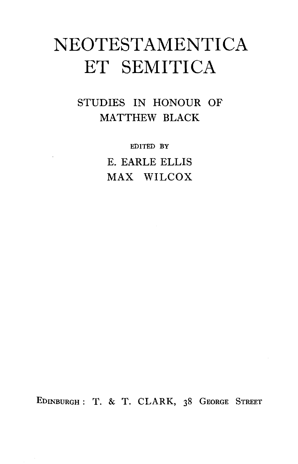# **NEOTESTAMENTICA ET SEMITICA**

STUDIES IN HONOUR OF MATTHEW BLACK

> EDITED BY E. EARLE ELLIS MAX WILCOX

EDINBURGH : T. & T. CLARK, 38 GEORGE STREET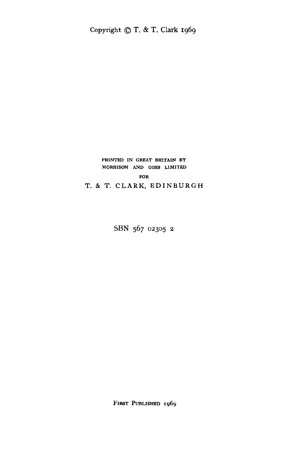# PRINTED IN GREAT BRITAIN BY MORRISON AND GIBB LIMITED FOR

T. & T. CLARK, EDINBURGH

SBN 567 02305 2

FIRST PUBLISHED 1969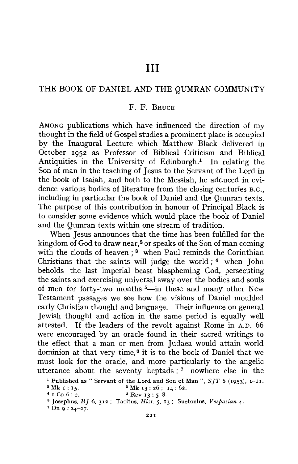# THE BOOK OF DANIEL AND THE QUMRAN COMMUNITY

## F. F. BRUCE

AMONG publications which have influenced the direction of my thought in the field of Gospel studies a prominent place is occupied by the Inaugural Lecture which Matthew Black delivered in October 1952 as Professor of Biblical Criticism and Biblical Antiquities in the University of Edinburgh.<sup>1</sup> In relating the Son of man in the teaching of Jesus to the Servant of the Lord in the book of Isaiah, and both to the Messiah, he adduced in evidence various bodies of literature from the closing centuries B.c., including in particular the book of Daniel and the Qumran texts. The purpose of this contribution in honour of Principal Black is to consider some evidence which would place the book of Daniel and the Qumran texts within one stream of tradition.

When Jesus announces that the time has been fulfilled for the kingdom of God to draw near,<sup>2</sup> or speaks of the Son of man coming with the clouds of heaven;<sup>3</sup> when Paul reminds the Corinthian Christians that the saints will judge the world; 4 when John beholds the last imperial beast blaspheming God, persecuting the saints and exercising universal sway over the bodies and souls of men for forty-two months <sup>5</sup> -in these and many other New Testament passages we see how the visions of Daniel moulded early Christian thought and language. Their influence on general Jewish thought and action in the same period is equally well attested. If the leaders of the revolt against Rome in A.D. 66 were encouraged by an oracle found in their sacred writings to the effect that a man or men from Judaea would attain world dominion at that very time, 6 it is to the book of Daniel that we must look for the oracle, and more particularly to the angelic utterance about the seventy heptads ; 7 nowhere else in the

<sup>1</sup> Published as " Servant of the Lord and Son of Man", *SJT* 6 (1953), 1-11.<br>
<sup>2</sup> Mk 1 : 15. <sup>3</sup> Mk 13 : 26; 14 : 62.<br>
<sup>4</sup> I Co 6 : 2. <sup>6</sup> Rev 13 : 5-8.

a Josephus, *BJ* 6, 312; Tacitus, *Hist.* 5, 13; Suetonius, *Vespasian* 4. 7 Dn 9 : 24-27.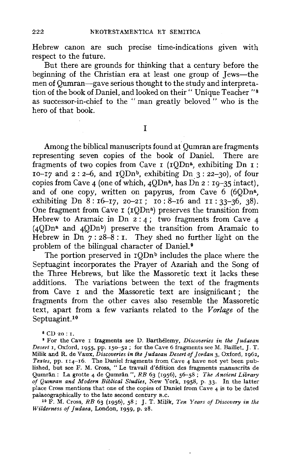Hebrew canon are such precise time-indications given with respect to the future.

But there are grounds for thinking that a century before the beginning of the Christian era at least one group of Jews-the men of Qumran-gave serious thought to the study and interpretation of the book of Daniel, and looked on their "Unique Teacher "<sup>8</sup> as successor-in-chief to the " man greatly beloved " who is the hero of that book.

I

Among the biblical manuscripts found at Qumran are fragments representing seven copies of the book of Daniel. There are fragments of two copies from Cave  $I$  ( $IODn^a$ , exhibiting Dn  $I$ ):  $10-17$  and  $2: 2-6$ , and  $10Dn<sup>b</sup>$ , exhibiting  $Dn \le 22-30$ , of four copies from Cave 4 (one of which, 4QDna, has Dn 2 : 19-35 intact), and of one copy, written on papyrus, from Cave 6 (6QDna, exhibiting Dn  $8:16-17$ , 20-21; 10: 8-16 and  $11:33-36$ , 38). One fragment from Cave I (1QDn<sup>a</sup>) preserves the transition from Hebrew to Aramaic in Dn  $2:4$ ; two fragments from Cave 4  $(4 \text{ODn}^2$  and  $4 \text{ODn}^2$ ) preserve the transition from Aramaic to Hebrew in Dn  $7:28-8$ : I. They shed no further light on the problem of the bilingual character of Daniel.<sup>9</sup>

The portion preserved in  $10Dn^b$  includes the place where the Septuagint incorporates the Prayer of Azariah and the Song of the Three Hebrews, but like the Massoretic text it lacks these additions. The variations between the text of the fragments from Cave I and the Massoretic text are insignificant ; the fragments from the other caves also resemble the Massoretic text, apart from a few variants related to the *Vorlage* of the Septuagint.<sup>10</sup>

 $8$  CD 20: I.

<sup>9</sup>For the Cave r fragments see D. Barthelemy, *Discoveries in the Judaean Desert* 1, Oxford, *1955,* pp. 150-52 ; for the Cave 6 fragments see M. Baillet, J. T. Milik and R. de Vaux, *Discoveries in the judaean Desert of Jordan* 3, Oxford, 1962, *Textes,* pp. 114-16. The Daniel fragments from Cave 4 have not yet been published, but see F. M. Cross, " Le travail d'edition des fragments manuscrits de Qumran: La grotte 4 de Qumran", *RB* 63 (1956), 56-58; *The Ancient Library of Qumran and Modern Biblical Studies,* New York, 1958, p. 33. In the latter place Cross mentions that one of the copies of Daniel from Cave 4 is to be dated palaeographically to the late second century B.C.

palaeographically to the late second century B.c. 1° F. M. Cross, *RB* 63 (1956), 58; J. T. **Milik,** *Ten Years of Discovery in the Wilderness of judaea,* London, 1959, p. 28.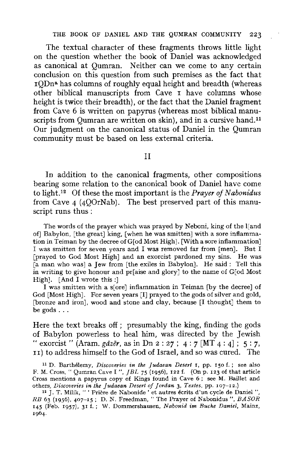The textual character of these fragments throws little light on the question whether the book of Daniel was acknowledged as canonical at Qumran. Neither can we come to any certain conclusion on this question from such premises as the fact that 1QDna has columns of roughly equal height and breadth (whereas other biblical manuscripts from Cave I have columns whose height is twice their breadth), or the fact that the Daniel fragment from Cave 6 is written on papyrus (whereas most biblical manuscripts from Qumran are written on skin), and in a cursive hand.<sup>11</sup> Our judgment on the canonical status of Daniel in the Qumran community must be based on less external criteria.

#### II

In addition to the canonical fragments, other compositions bearing some relation to the canonical book of Daniel have come to light.<sup>12</sup> Of these the most important is the *Prayer of Nabonidus* from Cave 4 (4QOrNab). The best preserved part of this manuscript runs thus :

The words of the prayer which was prayed by Neboni, king of the l[and of] Babylon, [the great] king, [when he was smitten] with a sore inflammation in Teiman by the decree of G[od Most High]. [With a sore inflammation] I was smitten for seven years and I was removed far from (men]. But I [prayed to God Most High] and an exorcist pardoned my sins. He was [a man who was] a Jew from [the exiles in Babylon]. He said: Tell this in writing to give honour and pr[aise and glory] to the name of G[od Most High]. [And I wrote this:]

I was smitten with a s[ore] inflammation in Teiman [by the decree] of God [Most High]. For seven years [I] prayed to the gods of silver and gold, [bronze and iron], wood and stone and clay, because [I thought] them to be gods ...

Here the text breaks off; presumably the king, finding the gods of Babylon powerless to heal **him,** was directed by the Jewish "exorcist" (Aram. *gazer,* as in Dn 2: 27 ; 4: 7 [MT 4: 4] ; 5 : 7, II) to address himself to the God of Israel, and so was cured. The

<sup>11</sup>D. Barthelemy, *Discoveries in the Judaean Desert* 1, pp. 150 f. ; see also F. M. Cross, "Qumran Cave I ", *JBL* 75 (1956), 122 f. (On p. 123 of that article Cross mentions a papyrus copy of Kings found in Cave 6 ; see M. Baillet and others, *Discoveries in the Judaean Desert of Jordan* 3, *Textes,* pp. 107-12.)

" J. T. Milik, " ' Priere de Nabonide ' et autres ecrits d'un cycle de Daniel ", *RB* 63 (1956), 407-15: D. N. Freedman, "The Prayer of Nabonidus ", *BA SOR*  145 (Feb. 1957), 31 f.; W. Dommershausen. *Nabonid im Bucke Daniel,* Mainz, 1964.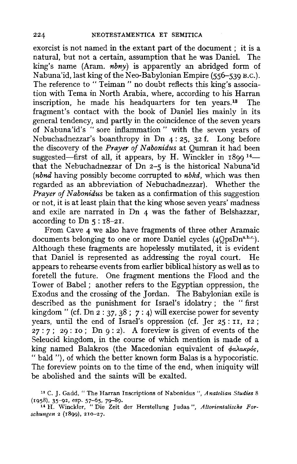exorcist is not named in the extant part of the document ; it is a natural, but not a certain, assumption that he was Daniel. The king's name (Aram. *nbny)* is apparently an abridged form of Nabuna'id, last king of the Neo-Babylonian Empire ( $556-539$  B.C.). The reference to " Teiman " no doubt reflects this king's association with Tema in North Arabia, where, according to his Harran<br>inscription the made his headquarters for ten years<sup>13</sup>. The inscription, he made his headquarters for ten years.<sup>13</sup> fragment's contact with the book of Daniel lies mainly in its general tendency, and partly in the coincidence of the seven years of Nabuna'id's "sore inflammation" with the seven years of Nebuchadnezzar's boanthropy in Dn 4: 25, 32 f. Long before the discovery of the *Prayer of Nabonidus* at *Qumran* it had been suggested—first of all, it appears, by H. Winckler in  $1899^{14}$  that the Nebuchadnezzar of Dn 2-5 is the historical Nabuna'id *(nbnd* having possibly become corrupted to *nbkd,* which was then regarded as an abbreviation of Nebuchadnezzar). Whether the *Prayer of Nabonidus* be taken as a confirmation of this suggestion or not, it is at least plain that the king whose seven years' madness and exile are narrated in Dn 4 was the father of Belshazzar, according to Dn *5* : 18-21.

From Cave 4 we also have fragments of three other Aramaic documents belonging to one or more Daniel cycles (4OpsDn<sup>a,b.c.</sup>). Although these fragments are hopelessly mutilated, it is evident that Daniel is represented as addressing the royal court. He appears to rehearse events from earlier biblical history as well as to foretell the future. One fragment mentions the Flood and the Tower of Babel; another refers to the Egyptian oppression, the Exodus and the crossing of the Jordan. The Babylonian exile is described as the punishment for Israel's idolatry; the "first kingdom" (cf. Dn  $2: 37, 38$ ;  $7: 4$ ) will exercise power for seventy years, until the end of Israel's oppression (cf. Jer *25* : II, 12 ;  $27:7$ ;  $29:10$ ; Dn  $9:2$ ). A foreview is given of events of the Seleucid kingdom, in the course of which mention is made of a king named Balakros (the Macedonian equivalent of  $\phi$ *a* $\lambda$ a*kpós*, " bald "), of which the better known form Balas is a hypocoristic. The foreview points on to the time of the end, when iniquity will be abolished and the saints will be exalted.

<sup>13</sup> C. J. Gadd, " The Harran Inscriptions of N abonidus ", *Anatolian Studies* 8 (1958), 35--92, esp. 57-65, 79-89. 14 H. Winckler, "Die Zeit der Herstellung Judas", *Altorientalische For-*

*schungen* 2 (1899), 210-27.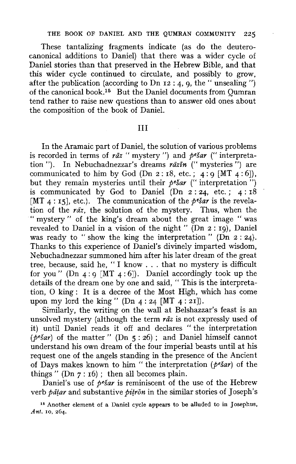These tantalizing fragments indicate (as do the deuterocanonical additions to Daniel) that there was a wider cycle of Daniel stories than that preserved in the Hebrew Bible, and that this wider cycle continued to circulate, and possibly to grow, after the publication (according to Dn  $12:4$ , 9, the "unsealing") of the canonical book.<sup>15</sup> But the Daniel documents from Oumran tend rather to raise new questions than to answer old ones about the composition of the book of Daniel.

## III

In the Aramaic part of Daniel, the solution of various problems is recorded in terms of *raz* " mystery ") and *pesar* (" interpretation"). In Nebuchadnezzar's dreams *razfn* ("mysteries") are communicated to him by God (Dn 2:18, etc.; 4:9 [MT  $4:6$ ]), but they remain mysteries until their *pesar* (" interpretation") is communicated by God to Daniel  $(Dn_2:24, etc. ; 4:18)$ [MT  $4:15$ ], etc.). The communication of the *pesar* is the revelation of the *rdz,* the solution of the mystery. Thus, when the " mystery " of the king's dream about the great image " was revealed to Daniel in a vision of the night " **(Dn** 2 : 19), Daniel was ready to "show the king the interpretation" (Dn 2:24). Thanks to this experience of Daniel's divinely imparted wisdom, Nebuchadnezzar summoned him after his later dream of the great tree, because, said he, " I know ... that no mystery is difficult for you" (Dn  $4:9$  [MT  $4:6$ ]). Daniel accordingly took up the details of the dream one by one and said, " This is the interpretation, 0 king : It is a decree of the Most High, which has come upon my lord the king" (Dn  $4:24$  [MT  $4:21$ ]).

Similarly, the writing on the wall at Belshazzar's feast is an unsolved mystery (although the term *raz* is not expressly used of it) until Daniel reads it off and declares "the interpretation  $(p^e \xi a r)$  of the matter " (Dn 5 : 26); and Daniel himself cannot understand his own dream of the four imperial beasts until at his request one of the angels standing in the presence of the Ancient of Days makes known to him " the interpretation *(pesar)* of the things" (Dn  $7:16$ ); then all becomes plain.

Daniel's use of *pesar* is reminiscent of the use of the Hebrew verb *pātar* and substantive *pitrōn* in the similar stories of Joseph's

<sup>15</sup> Another element of a Daniel cycle appears to be alluded to in Josephus, *Ant.* 10, 264.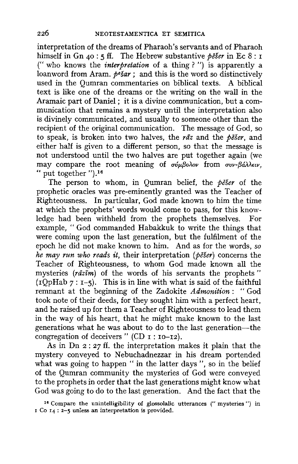interpretation of the dreams of Pharaoh's servants and of Pharaoh himself in Gn 40 : 5 ff. The Hebrew substantive *peser* in Ec 8 : 1 (" who knows the *interpretation* of a thing ? ") is apparently a loanword from Aram. *pesar* ; and this is the word so distinctively used in the Qumran commentaries on biblical texts. A biblical text is like one of the dreams or the writing on the wall in the Aramaic part of Daniel; it is a divine communication, but a comnmnication that remains a mystery until the interpretation also is divinely communicated, and usually to someone other than the recipient of the original communication. The message of God, so to speak, is broken into two halves, the *rtiz* and the *peser,* and either half is given to a different person, so that the message is not understood until the two halves are put together again (we may compare the root meaning of  $\sigma \nu_{\mu}$ *Boλov* from  $\sigma \nu_{\nu}$ -*Báλλειν*. " put together ").16

The person to whom, in Qumran belief, the *peser* of the prophetic oracles was pre-eminently granted was the Teacher of Righteousness. In particular, God made known to him the time at which the prophets' words would come to pass, for this knowledge had been withheld from the prophets themselves. For example, "God commanded Habakkuk to write the things that were coming upon the last generation, but the fulfilment of the epoch he did not make known to him. And as for the words, *so he may run who reads it,* their interpretation *(peser)* concerns the Teacher of Righteousness, to whom God made known all the mysteries (rāzīm) of the words of his servants the prophets"  $(10pHab \, 7: 1-5)$ . This is in line with what is said of the faithful remnant at the beginning of the Zadokite *Admonition:* "God took note of their deeds, for they sought him with a perfect heart, and he raised up for them a Teacher of Righteousness to lead them in the way of his heart, that he might make known to the last generations what he was about to do to the last generation-the congregation of deceivers" (CD  $r : r0-r2$ ).

As in Dn  $2:27$  ff. the interpretation makes it plain that the mystery conveyed to Nebuchadnezzar in his dream portended what was going to happen " in the latter days ", so in the belief of the Qumran community the mysteries of God were conveyed to the prophets in order that the last generations might know what God was going to do to the last generation. And the fact that the

<sup>16</sup> Compare the unintelligibility of glossolalic utterances ("mysteries") in I Co 14 : 2-5 unless an interpretation is provided.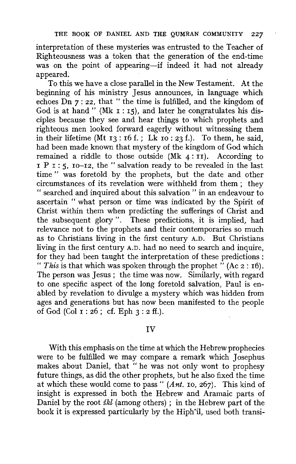interpretation of these mysteries was entrusted to the Teacher of Righteousness was a token that the generation of the end-time was on the point of appearing-if indeed it had not already appeared.

To this we have a close parallel in the New Testament. At the beginning of his ministry Jesus announces, in language which echoes  $\overrightarrow{D}$ n 7: 22, that "the time is fulfilled, and the kingdom of God is at hand " (Mk  $r : r5$ ), and later he congratulates his disciples because they see and hear things to which prophets and righteous men looked forward eagerly without witnessing them in their lifetime (Mt  $13 : 16$  f.; Lk  $10 : 23$  f.). To them, he said, had been made known that mystery of the kingdom of God which remained a riddle to those outside  $(Mk 4: II)$ . According to  $I P I$ : 5,  $IQ-I2$ , the "salvation ready to be revealed in the last time " was foretold by the prophets, but the date and other circumstances of its revelation were withheld from them ; they " searched and inquired about this salvation " in an endeavour to ascertain " what person or time was indicated by the Spirit of Christ within them when predicting the sufferings of Christ and the subsequent glory ". These predictions, it is implied, had relevance not to the prophets and their contemporaries so much as to Christians living in the first century A.D. But Christians living in the first century A.D. had no need to search and inquire, for they had been taught the interpretation of these predictions : " This is that which was spoken through the prophet  $\ddot{''}$  (Ac  $2:16$ ). The person was Jesus; the time was now. Similarly, with regard to one specific aspect of the long foretold salvation, Paul is enabled by revelation to divulge a mystery which was hidden from ages and generations but has now been manifested to the people of God (Col  $1: 26$ ; cf. Eph  $3: 2$  ff.).

## IV

With this emphasis on the time at which the Hebrew prophecies were to be fulfilled we may compare a remark which Josephus makes about Daniel, that " he was not only wont to prophesy future things, as did the other prophets, but he also fixed the time at which these would come to pass" *(Ant.* ro, 267). This kind of insight is expressed in both the Hebrew and Aramaic parts of Daniel by the root *skl* (among others); in the Hebrew part of the book it is expressed particularly by the Hiph<sup>•</sup>il, used both transi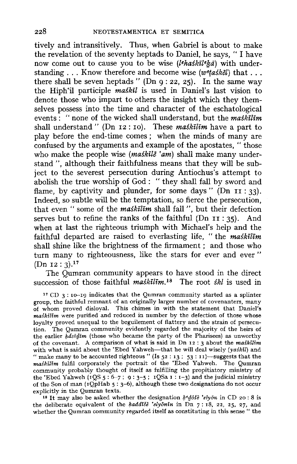tively and intransitively. Thus, when Gabriel is about to make the revelation of the seventy heptads to Daniel, he says, " I have now come out to cause you to be wise *(lthaskitefsa)* with understanding ... Know therefore and become wise (w*6taskel)* that ... there shall be seven heptads" (Dn  $9:22, 25$ ). In the same way the Hiph'il participle *maskil* is used in Daniel's last vision to denote those who impart to others the insight which they themselves possess into the time and character of the eschatological events : " none of the wicked shall understand, but the *maskilim*  shall understand" (Dn 12: IO). These *maskilim* have a part to play before the end-time comes ; when the minds of many are confused by the arguments and example of the apostates, "those who make the people wise *(maskile 'am)* shall make many understand ", although their faithfulness means that they will be subject to the severest persecution during Antiochus's attempt to abolish the true worship of God : " they shall fall by sword and flame, by captivity and plunder, for some days "  $(Dn I1 : 33)$ . Indeed, so subtle will be the temptation, so fierce the persecution, that even " some of the *maskilim* shall fall ", but their defection serves but to refine the ranks of the faithful (Dn II : 35). And when at last the righteous triumph with Michael's help and the faithful departed are raised to everlasting life, " the *maskilim*  shall shine like the brightness of the firmament ; and those who turn many to righteousness, like the stars for ever and ever "  $(Dn 12: 3).<sup>17</sup>$ 

The Qumran community appears to have stood in the direct succession of those faithful *maskilim*.<sup>18</sup> The root *skl* is used in

 $17$  CD 3: 10-19 indicates that the Qumran community started as a splinter group, the faithful remnant of an originally larger number of covenanters, many of whom proved disloyal. This chimes in with the statement that Daniel's *maskilim* were purified and reduced in number by the defection of those whose loyalty proved unequal to the beguilement of flattery and the strain of persecution. The Qumran community evidently regarded the majority of the heirs of the earlier *fulsiifim* (those who became the party of the Pharisees) as unworthy of the covenant. A comparison of what is said in Dn 12 : 3 about the *maskilim*  with what is said about the 'Ebed Yahweh-that he will deal wisely ( $y$ ashil) and " make many to be accounted righteous" (Is  $52 : 13 : 53 : 11$ )—suggests that the *maskilim* fulfil corporately the portrait of the 'Ebed Yahweh. The Qumran community probably thought of itself as fulfilling the propitiatory ministry of the 'Ebed Yahweh (1QS 5: 6-7; 9: 3-5; 1QSa 1: 1-3) and the judicial ministry of the Son of man (1QpHab *5* : 3-6), although these two designations do not occur explicitly in the Qumran texts.

<sup>18</sup> It may also be asked whether the designation  $k^e d\delta \delta \epsilon$  'elyon in CD 20: 8 is the deliberate equivalent of the *kaddiše* 'elyonin in Dn  $7:18$ , 22, 25, 27, and whether the Qumran community regarded itself as constituting in this sense " the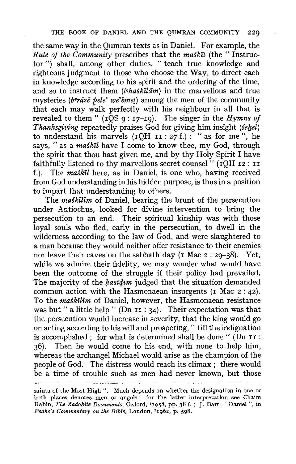the same way in the Qumran texts as in Daniel. For example, the *Rule of the Community* prescribes that the *maskil* (the " Instructor ") shall, among other duties, " teach true knowledge and righteous judgment to those who choose the Way, to direct each in knowledge according to his spirit and the ordering of the time, and so to instruct them *(lehaskilam)* in the marvellous and true mysteries (beraze pele' we'emet) among the men of the community that each may walk perfectly with his neighbour in all that is revealed to them"  $(1\overline{Q}S q: 17-19)$ . The singer in the *Hymns of Thanksgiving repeatedly praises God for giving him insight (sekel)* to understand his marvels  $(IQH II : 27 f.)$ : "as for me", he says, "as a *maskil* have I come to know thee, my God, through the spirit that thou hast given me, and by thy Holy Spirit I have faithfully listened to thy marvellous secret counsel" ( $1$ QH 12 : 11 f.). The *maskil* here, as in Daniel, is one who, having received from God understanding in his hidden purpose, is thus in a position to impart that understanding to others.

The *maskilim* of Daniel, bearing the brunt of the persecution under Antiochus, looked for divine intervention to bring the persecution to an end. Their spiritual kinship was with those loyal souls who fled, early in the persecution, to dwell in the wilderness according to the law of God, and were slaughtered to a man because they would neither offer resistance to their enemies nor leave their caves on the sabbath day (1 Mac  $2: 29-38$ ). Yet, while we admire their fidelity, we may wonder what would have been the outcome of the struggle if their policy had prevailed. The majority of the *hasidim* judged that the situation demanded common action with the Hasmonaean insurgents (1 Mac 2 : 42). To the *maskilim* of Daniel, however, the Hasmonaean resistance was but " a little help " (Dn II : 34). Their expectation was that the persecution would increase in severity, that the king would go on acting according to his will and prospering," till the indignation is accomplished ; for what is determined shall be done " (Dn II : 36). Then he would come to his end, with none to help him, whereas the archangel Michael would arise as the champion of the people of God. The distress would reach its climax ; there would be a time of trouble such as men had never known, but those

saints of the Most High ". Much depends on whether the designation in one or both places denotes men or angels ; for the latter interpretation see Chaim Rabin, *The Zadokite Documents*, Oxford, <sup>2</sup>1958, pp. 38 f. ; J. Barr, " Daniel ". in Peake's Commentary on the Bible, London, <sup>2</sup>1962, p. 598.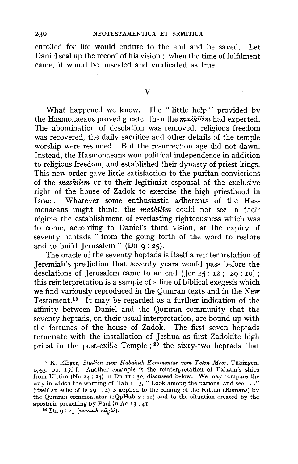enrolled for life would endure to the end and be saved. Let Daniel seal up the record of his vision ; when the time of fulfilment came, it would be unsealed and vindicated as true.

V

What happened we know. The "little help" provided by the Hasmonaeans proved greater than the *maskilim* had expected. The abomination of desolation was removed, religious freedom was recovered, the daily sacrifice and other details of the temple worship were resumed. But the resurrection age did not dawn. Instead, the Hasmonaeans won political independence in addition to religious freedom, and established their dynasty of priest-kings. This new order gave little satisfaction to the puritan convictions of the *maskilim* or to their legitimist espousal of the exclusive right of the house of Zadok to exercise the high priesthood in Israel. Whatever some enthusiastic adherents of the Hasmonaeans might think, the *maskilim* could not see in their regime the establishment of everlasting righteousness which was to come, according to Daniel's third vision, at the expiry of seventy heptads " from the going forth of the word to restore and to build Jerusalem" (Dn  $q: z_5$ ).

The oracle of the seventy heptads is itself a reinterpretation of Jeremiah's prediction that seventy years would pass before the desolations of Jerusalem came to an end (Jer  $25: 12$ ;  $29: 10$ ); this reinterpretation is a sample of a line of biblical exegesis which we find variously reproduced in the Qumran texts and in the New Testament.19 It may be regarded as a further indication of the affinity between Daniel and the Qumran community that the seventy heptads, on their usual interpretation, are bound up with the fortunes of the house of Zadok. The first seven heptads terminate with the installation of Jeshua as first Zadokite high priest in the post-exilic Temple ; 20 the sixty-two heptads that

<sup>19</sup>K. Elliger, *Studien zum Habakuk-Kommentar vom Toten Meer,* Tiibingen, 1953, pp. 156 f. Another example is the reinterpretation of Balaam's ships from Kittim {Nu 24: 24) in Dn II : 30, discussed below. We may compare the way in which the warning of Hab 1 : 5, "Look among the nations, and see . . ." (itself an echo of Is 29: 14) is applied to the coming of the Kittim (Romans) by the Qumran commentator (rQpHab 2: 12) and to the situation created by the apostolic preaching by Paul in Ac 13 : 41.

 $20$  Dn 9:25 (māšiah nāgid).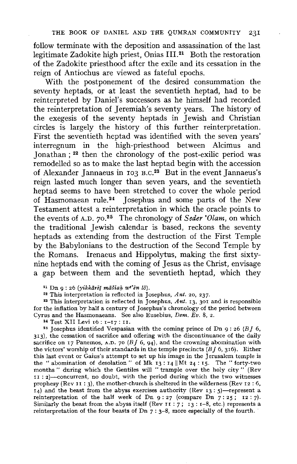follow terminate with the deposition and assassination of the last legitimate Zadokite high priest, Onias III.21 Both the restoration of the Zadokite priesthood after the exile and its cessation in the reign of Antiochus are viewed as fateful epochs.

With the postponement of the desired consummation the seventy heptads, or at least the seventieth heptad, had to be reinterpreted by Daniel's successors as he himself had recorded the reinterpretation of Jeremiah's seventy years. The history of the exegesis of the seventy heptads in Jewish and Christian circles is largely the history of this further reinterpretation. First the seventieth heptad was identified with the seven years' interregnum in the high-priesthood between Alcimus and Jonathan; 22 then the chronology of the post-exilic period was remodelled so as to make the last heptad begin with the accession of Alexander Jannaeus in 103 B.C.<sup>23</sup> But in the event Jannaeus's reign lasted much longer than seven years, and the seventieth heptad seems to have been stretched to cover the whole period of Hasmonaean rule.<sup>24</sup> Josephus and some parts of the New Testament attest a reinterpretation in which the oracle points to the events of A.D. 70.<sup>25</sup> The chronology of *Seder 'Olam*, on which the traditional Jewish calendar is based, reckons the seventy heptads as extending from the destruction of the First Temple by the Babylonians to the destruction of the Second Temple by the Romans. Irenaeus and Hippolytus, making the first sixtynine heptads end with the coming of Jesus as the Christ, envisage a gap between them and the seventieth heptad, which they

22 This interpretation is reflected in Josephus, *Ant.* 20, 237.

•• This interpretation is reflected in Josephus, *Ant.* 13, 301 and is responsible for the inflation by half a century of Josephus's chronology of the period between Cyrus and the Hasmonaeans. See also Eusebius, *Dem. Ev.* 8, 2.

<sup>24</sup> Test XII Levi 16: 1-17: 11.

<sup>25</sup> Josephus identified Vespasian with the coming prince of Dn 9: 26 (BJ 6, 313), the cessation of sacrifice and offering with the discontinuance of the daily sacrifice on 17 Panemos, A.D. 70 ( $BJ$  6, 94), and the crowning abomination with the victors' worship of their standards in the temple precincts *(Bf* 6, 316). Either this last event or Gaius's attempt to set up his image in the Jerusalem temple is the " abomination of desolation" of Mk  $13:14$  ||Mt  $24:15$ . The "forty-two months " during which the Gentiles will " trample over the holy city " (Rev II : 2)-concurrent, no doubt, with the period during which the two witnesses prophesy (Rev II : 3), the mother-church is sheltered in the wilderness (Rev 12 : 6,  $14)$  and the beast from the abyss exercises authority (Rev 13:5)-represent a reinterpretation of the half week of Dn  $9:27$  (compare Dn  $7:25$ ; 12:7). Similarly the beast from the abyss itself (Rev II : 7;  $I_3$  : 1-8, etc.) represents a reinterpretation of the four beasts of Dn 7 : 3-8, more especially of the fourth.

<sup>&</sup>lt;sup>21</sup> Dn 9:26 (yikkārēt māšiah we'en lõ).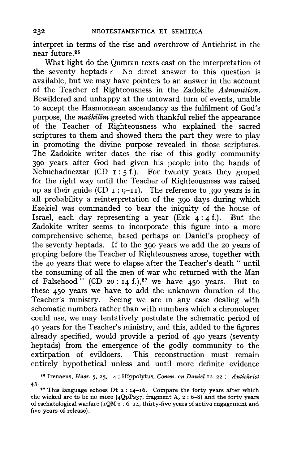interpret in terms of the rise and overthrow of Antichrist in the near future.<sup>26</sup>

What light do the Qumran texts cast on the interpretation of the seventy heptads ? No direct answer to this question is available, but we may have pointers to an answer in the account of the Teacher of Righteousness in the Zadokite *Admonition.*  Bewildered and unhappy at the untoward turn of events, unable to accept the Hasmonaean ascendancy as the fulfilment of God's purpose, the *maskilim* greeted with thankful relief the appearance of the Teacher of Righteousness who explained the sacred scriptures to them and showed them the part they were to play in promoting the divine purpose revealed in those scriptures. The Zadokite writer dates the rise of this godly community 390 years after God had given his people into the hands of Nebuchadnezzar (CD I : *5* f.). For twenty years they groped for the right way until the Teacher of Righteousness was raised up as their guide (CD 1: 9-11). The reference to 390 years is in all probability a reinterpretation of the 390 days during which Ezekiel was commanded to bear the iniquity of the house of Israel, each day representing a year (Ezk 4: 4 f.). But the Zadokite writer seems *to* incorporate this figure into a more comprehensive scheme, based perhaps on Daniel's prophecy of the seventy heptads. If *to* the 390 years we add the 20 years of groping before the Teacher of Righteousness arose, together with the 40 years that were to elapse after the Teacher's death "until the consuming of all the men of war who returned with the Man of Falsehood" (CD 20:14 f.),<sup>27</sup> we have 450 years. But to these 450 years we have to add the unknown duration of the Teacher's ministry. Seeing we are in any case dealing with schematic numbers rather than with numbers which a chronologer could use, we may tentatively postulate the schematic period of 40 years for the Teacher's ministry, and this, added to the figures already specified, would provide a period of 490 years (seventy heptads) from the emergence of the godly community to the extirpation of evildoers. This reconstruction must remain entirely hypothetical unless and until more definite evidence

<sup>,.</sup> Irenaeus, *Haer. 5,* 25, 4; Hippolytus, *Comm. on Daniel* 12-22 ; *Antichrist*  43.

<sup>&</sup>lt;sup>27</sup> This language echoes Dt  $2: 14-16$ . Compare the forty years after which the wicked are to be no more  $(4QpPs37,$  fragment A,  $2:6-8)$  and the forty years of eschatological warfare ( $1QM$  2 : 6-14, thirty-five years of active engagement and five years of release).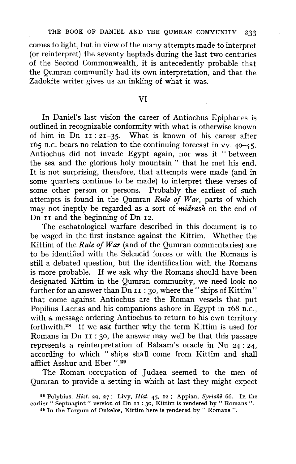comes to light, but in view of the many attempts made to interpret (or reinterpret) the seventy heptads during the last two centuries of the Second Commonwealth, it is antecedently probable that the Qumran community had its own interpretation, and that the Zadokite writer gives us an inkling of what it was.

## VI

In Daniel's last vision the career of Antiochus Epiphanes is outlined in recognizable conformity with what is otherwise known of him in Dn II: 21-35. What is known of his career after 165 B.C. bears no relation to the continuing forecast in vv. 40-45. Antiochus did not invade Egypt again, nor was it " between the sea and the glorious holy mountain " that he met his end. It is not surprising, therefore, that attempts were made (and in some quarters continue to be made) to interpret these verses of some other person or persons. Probably the earliest of such attempts is found in the Qumran *Rule of War,* parts of which may not ineptly be regarded as a sort of *midrash* on the end of Dn II and the beginning of Dn 12.

The eschatological warfare described in this document is to be waged **in** the first instance against the Kittim. Whether the Kittim of the *Rule of War* (and of the Qumran commentaries) are to be identified with the Seleucid forces or with the Romans is still a debated question, but the identification with the Romans is more probable. If we ask why the Romans should have been designated Kittim in the Qumran community, we need look no further for an answer than  $\overline{D}$ n 11 : 30, where the "ships of Kittim" that come against Antiochus are the Roman vessels that put Popilius Laenas and his companions ashore in Egypt in 168 B.c., with a message ordering Antiochus to return to his own territory forthwith.<sup>28</sup> If we ask further why the term Kittim is used for Romans in Dn II: 30, the answer may well be that this passage represents a reinterpretation of Balaam's oracle in Nu 24: 24, according to which " ships shall come from Kittim and shall afflict Asshur and Eber ".<sup>29</sup>

The Roman occupation of Judaea seemed to the men of Qumran to provide a setting in which at last they might expect

•• In the Targum of Onkelos, Kittim here is rendered by " Romans ".

<sup>38</sup> Polybius, *Hist.* 29, 27 ; Livy, *Hist.* 45, 12 ; Appian, *Syriake* 66. In the earlier " Septuagint " version of Dn II : 30, Kittim is rendered by " Romans ".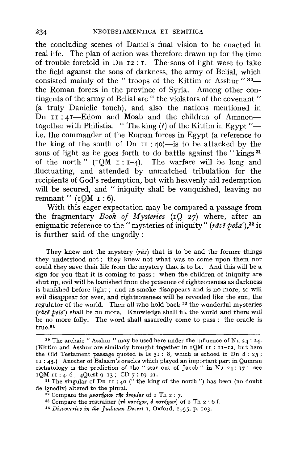the concluding scenes of Daniel's final vision to be enacted in real life. The plan of action was therefore drawn up for the time of trouble foretold in Dn 12: I. The sons of light were to take the field against the sons of darkness, the army of Belial, which consisted mainly of the " troops of the Kittim of Asshur " 30 the Roman forces in the province of Syria. Among other contingents of the army of Belial are " the violators of the covenant " {a truly Danielic touch), and also the nations mentioned in Dn II: 41-Edom and Moab and the children of Ammontogether with Philistia. " The king (?) of the Kittim in Egypt "--i.e. the commander of the Roman forces in Egypt (a reference to the king of the south of Dn  $II$  : 40)-is to be attacked by the sons of light as he goes forth to do battle against the "kings<sup>31</sup> of the north"  $(TQM I : I-4)$ . The warfare will be long and fluctuating, and attended by unmatched tribulation for the recipients of God's redemption, but with heavenly aid redemption will be secured, and "iniquity shall be vanquished, leaving no remnant"  $(1OM 1: 6)$ .

With this eager expectation may be compared a passage from the fragmentary *Book of Mysteries* (rQ 27) where, after an enigmatic reference to the "mysteries of iniquity" (raze pesa'),<sup>32</sup> it is further said of the ungodly:

They knew not the mystery  $(r\bar{a}z)$  that is to be and the former things they understood not; they knew not what was to come upon them nor could they save their life from the mystery that is to be. And this will be a sign for you that it is coming to pass : when the children of iniquity are shut up, evil will be banished from the presence of righteousness as darkness is banished before light ; and as smoke disappears and is no more, so will evil disappear for ever, and righteousness will be revealed like the sun, the regulator of the world. Then all who hold back  $33$  the wonderful mysteries (raze *pele')* shall be no more. Knowledge shall fill the world and there will be no more folly. The word shall assuredly come to pass; the oracle is true. <sup>84</sup>

<sup>30</sup> The archaic "Asshur" may be used here under the influence of Nu 24: 24. (Kittim and Asshur are similarly brought together in  $IQM$  II : II-12, but here the Old Testament passage quoted is Is  $31:8$ , which is echoed in Dn 8: 25; rr: 45.) Another of Balaam's oracles which played an important part in Qumran eschatology is the prediction of the "star out of Jacob" in Nu  $24:17$ ; see 1QM II :  $4-6$ ;  $4Qtest$  9-13; CD 7:  $19-21$ .<br><sup>31</sup> The singular of Dn 11 :  $40$  (" the king of the north ") has been (no doubt

de ignedly) altered to the plural.<br><sup>32</sup> Compare the *μυστήριον τῆς ἀνομίας* of 2 Th 2 : 7.<br><sup>33</sup> Compare the restrainer (το *κατέχον, ο κατέχων*) of 2 Th 2 : 6 f.

<sup>••</sup> *Discoveries in the Judaean Desert* I, Oxford, 1955, p. 103.